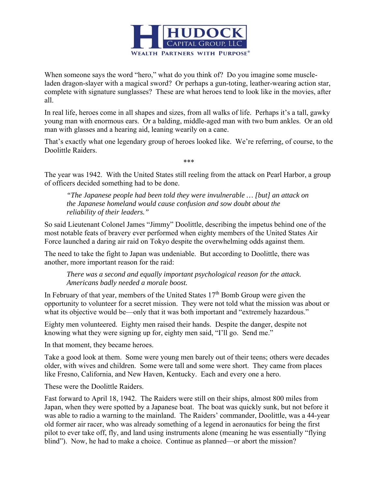

When someone says the word "hero," what do you think of? Do you imagine some muscleladen dragon-slayer with a magical sword? Or perhaps a gun-toting, leather-wearing action star, complete with signature sunglasses? These are what heroes tend to look like in the movies, after all.

In real life, heroes come in all shapes and sizes, from all walks of life. Perhaps it's a tall, gawky young man with enormous ears. Or a balding, middle-aged man with two bum ankles. Or an old man with glasses and a hearing aid, leaning wearily on a cane.

That's exactly what one legendary group of heroes looked like. We're referring, of course, to the Doolittle Raiders.

\*\*\*

The year was 1942. With the United States still reeling from the attack on Pearl Harbor, a group of officers decided something had to be done.

*"The Japanese people had been told they were invulnerable … [but] an attack on the Japanese homeland would cause confusion and sow doubt about the reliability of their leaders."* 

So said Lieutenant Colonel James "Jimmy" Doolittle, describing the impetus behind one of the most notable feats of bravery ever performed when eighty members of the United States Air Force launched a daring air raid on Tokyo despite the overwhelming odds against them.

The need to take the fight to Japan was undeniable. But according to Doolittle, there was another, more important reason for the raid:

*There was a second and equally important psychological reason for the attack. Americans badly needed a morale boost.* 

In February of that year, members of the United States  $17<sup>th</sup>$  Bomb Group were given the opportunity to volunteer for a secret mission. They were not told what the mission was about or what its objective would be—only that it was both important and "extremely hazardous."

Eighty men volunteered. Eighty men raised their hands. Despite the danger, despite not knowing what they were signing up for, eighty men said, "I'll go. Send me."

In that moment, they became heroes.

Take a good look at them. Some were young men barely out of their teens; others were decades older, with wives and children. Some were tall and some were short. They came from places like Fresno, California, and New Haven, Kentucky. Each and every one a hero.

These were the Doolittle Raiders.

Fast forward to April 18, 1942. The Raiders were still on their ships, almost 800 miles from Japan, when they were spotted by a Japanese boat. The boat was quickly sunk, but not before it was able to radio a warning to the mainland. The Raiders' commander, Doolittle, was a 44-year old former air racer, who was already something of a legend in aeronautics for being the first pilot to ever take off, fly, and land using instruments alone (meaning he was essentially "flying blind"). Now, he had to make a choice. Continue as planned—or abort the mission?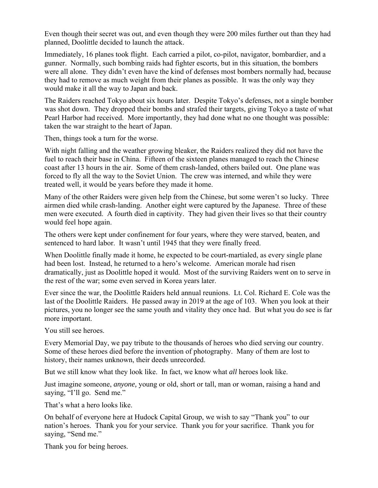Even though their secret was out, and even though they were 200 miles further out than they had planned, Doolittle decided to launch the attack.

Immediately, 16 planes took flight. Each carried a pilot, co-pilot, navigator, bombardier, and a gunner. Normally, such bombing raids had fighter escorts, but in this situation, the bombers were all alone. They didn't even have the kind of defenses most bombers normally had, because they had to remove as much weight from their planes as possible. It was the only way they would make it all the way to Japan and back.

The Raiders reached Tokyo about six hours later. Despite Tokyo's defenses, not a single bomber was shot down. They dropped their bombs and strafed their targets, giving Tokyo a taste of what Pearl Harbor had received. More importantly, they had done what no one thought was possible: taken the war straight to the heart of Japan.

Then, things took a turn for the worse.

With night falling and the weather growing bleaker, the Raiders realized they did not have the fuel to reach their base in China. Fifteen of the sixteen planes managed to reach the Chinese coast after 13 hours in the air. Some of them crash-landed, others bailed out. One plane was forced to fly all the way to the Soviet Union. The crew was interned, and while they were treated well, it would be years before they made it home.

Many of the other Raiders were given help from the Chinese, but some weren't so lucky. Three airmen died while crash-landing. Another eight were captured by the Japanese. Three of these men were executed. A fourth died in captivity. They had given their lives so that their country would feel hope again.

The others were kept under confinement for four years, where they were starved, beaten, and sentenced to hard labor. It wasn't until 1945 that they were finally freed.

When Doolittle finally made it home, he expected to be court-martialed, as every single plane had been lost. Instead, he returned to a hero's welcome. American morale had risen dramatically, just as Doolittle hoped it would. Most of the surviving Raiders went on to serve in the rest of the war; some even served in Korea years later.

Ever since the war, the Doolittle Raiders held annual reunions. Lt. Col. Richard E. Cole was the last of the Doolittle Raiders. He passed away in 2019 at the age of 103. When you look at their pictures, you no longer see the same youth and vitality they once had. But what you do see is far more important.

You still see heroes.

Every Memorial Day, we pay tribute to the thousands of heroes who died serving our country. Some of these heroes died before the invention of photography. Many of them are lost to history, their names unknown, their deeds unrecorded.

But we still know what they look like. In fact, we know what *all* heroes look like.

Just imagine someone, *anyone,* young or old, short or tall, man or woman, raising a hand and saying, "I'll go. Send me."

That's what a hero looks like.

On behalf of everyone here at Hudock Capital Group, we wish to say "Thank you" to our nation's heroes. Thank you for your service. Thank you for your sacrifice. Thank you for saying, "Send me."

Thank you for being heroes.